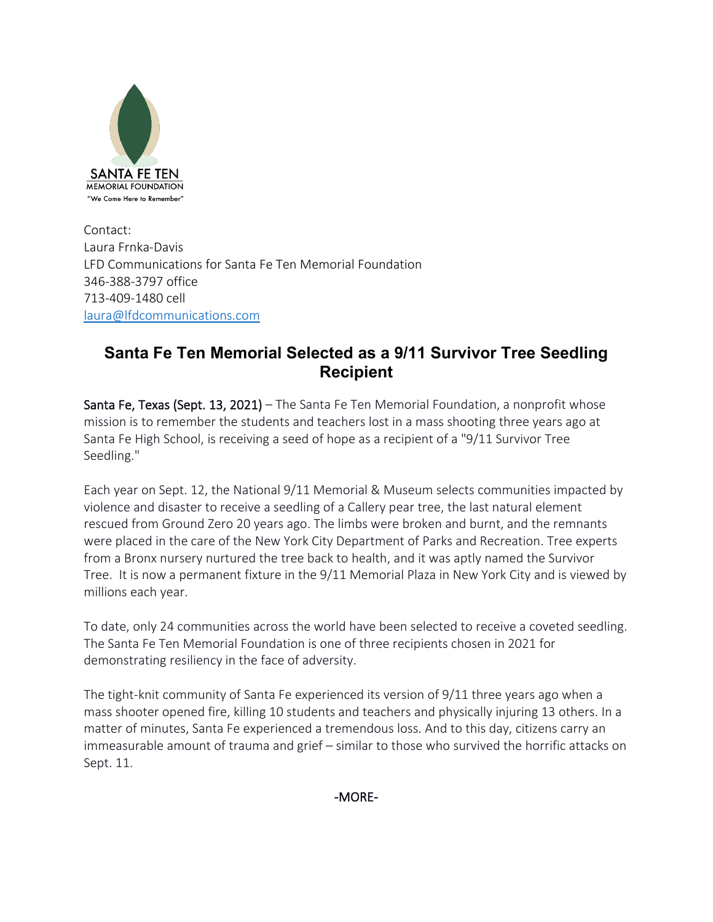

Contact: Laura Frnka-Davis LFD Communications for Santa Fe Ten Memorial Foundation 346-388-3797 office 713-409-1480 cell [laura@lfdcommunications.com](mailto:laura@lfdcommunications.com)

# **Santa Fe Ten Memorial Selected as a 9/11 Survivor Tree Seedling Recipient**

Santa Fe, Texas (Sept. 13, 2021) – The Santa Fe Ten Memorial Foundation, a nonprofit whose mission is to remember the students and teachers lost in a mass shooting three years ago at Santa Fe High School, is receiving a seed of hope as a recipient of a "9/11 Survivor Tree Seedling."

Each year on Sept. 12, the National 9/11 Memorial & Museum selects communities impacted by violence and disaster to receive a seedling of a Callery pear tree, the last natural element rescued from Ground Zero 20 years ago. The limbs were broken and burnt, and the remnants were placed in the care of the New York City Department of Parks and Recreation. Tree experts from a Bronx nursery nurtured the tree back to health, and it was aptly named the Survivor Tree. It is now a permanent fixture in the 9/11 Memorial Plaza in New York City and is viewed by millions each year.

To date, only 24 communities across the world have been selected to receive a coveted seedling. The Santa Fe Ten Memorial Foundation is one of three recipients chosen in 2021 for demonstrating resiliency in the face of adversity.

The tight-knit community of Santa Fe experienced its version of 9/11 three years ago when a mass shooter opened fire, killing 10 students and teachers and physically injuring 13 others. In a matter of minutes, Santa Fe experienced a tremendous loss. And to this day, citizens carry an immeasurable amount of trauma and grief – similar to those who survived the horrific attacks on Sept. 11.

-MORE-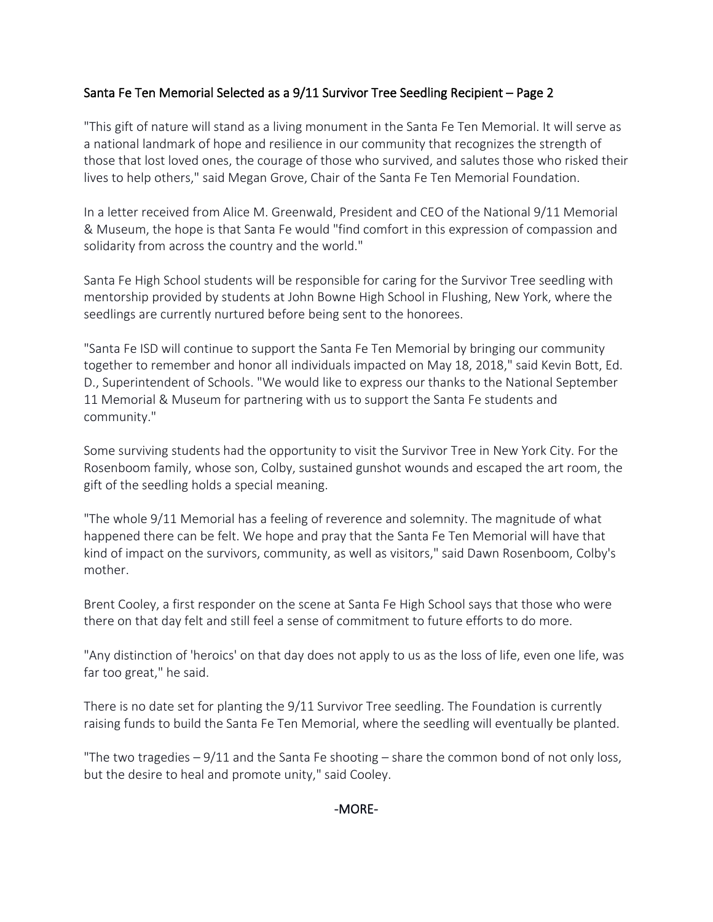## Santa Fe Ten Memorial Selected as a 9/11 Survivor Tree Seedling Recipient – Page 2

"This gift of nature will stand as a living monument in the Santa Fe Ten Memorial. It will serve as a national landmark of hope and resilience in our community that recognizes the strength of those that lost loved ones, the courage of those who survived, and salutes those who risked their lives to help others," said Megan Grove, Chair of the Santa Fe Ten Memorial Foundation.

In a letter received from Alice M. Greenwald, President and CEO of the National 9/11 Memorial & Museum, the hope is that Santa Fe would "find comfort in this expression of compassion and solidarity from across the country and the world."

Santa Fe High School students will be responsible for caring for the Survivor Tree seedling with mentorship provided by students at John Bowne High School in Flushing, New York, where the seedlings are currently nurtured before being sent to the honorees.

"Santa Fe ISD will continue to support the Santa Fe Ten Memorial by bringing our community together to remember and honor all individuals impacted on May 18, 2018," said Kevin Bott, Ed. D., Superintendent of Schools. "We would like to express our thanks to the National September 11 Memorial & Museum for partnering with us to support the Santa Fe students and community."

Some surviving students had the opportunity to visit the Survivor Tree in New York City. For the Rosenboom family, whose son, Colby, sustained gunshot wounds and escaped the art room, the gift of the seedling holds a special meaning.

"The whole 9/11 Memorial has a feeling of reverence and solemnity. The magnitude of what happened there can be felt. We hope and pray that the Santa Fe Ten Memorial will have that kind of impact on the survivors, community, as well as visitors," said Dawn Rosenboom, Colby's mother.

Brent Cooley, a first responder on the scene at Santa Fe High School says that those who were there on that day felt and still feel a sense of commitment to future efforts to do more.

"Any distinction of 'heroics' on that day does not apply to us as the loss of life, even one life, was far too great," he said.

There is no date set for planting the 9/11 Survivor Tree seedling. The Foundation is currently raising funds to build the Santa Fe Ten Memorial, where the seedling will eventually be planted.

"The two tragedies  $-9/11$  and the Santa Fe shooting  $-$  share the common bond of not only loss, but the desire to heal and promote unity," said Cooley.

### -MORE-